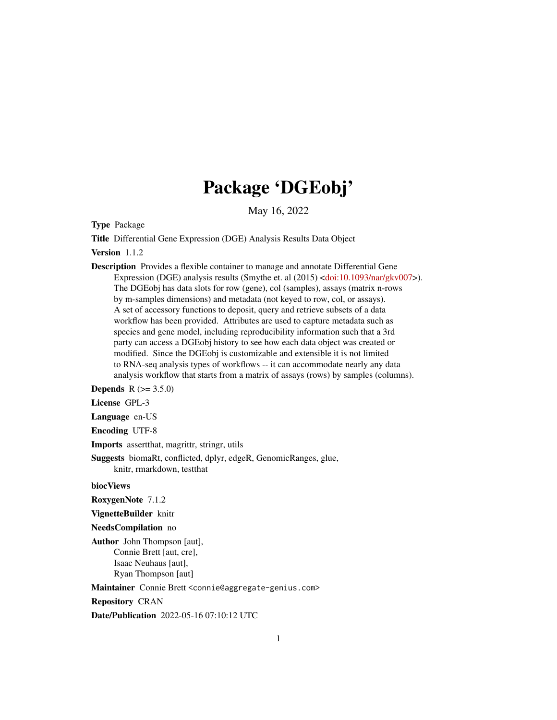# Package 'DGEobj'

May 16, 2022

Type Package

Title Differential Gene Expression (DGE) Analysis Results Data Object

#### Version 1.1.2

Description Provides a flexible container to manage and annotate Differential Gene Expression (DGE) analysis results (Smythe et. al (2015) [<doi:10.1093/nar/gkv007>](https://doi.org/10.1093/nar/gkv007)). The DGEobj has data slots for row (gene), col (samples), assays (matrix n-rows by m-samples dimensions) and metadata (not keyed to row, col, or assays). A set of accessory functions to deposit, query and retrieve subsets of a data workflow has been provided. Attributes are used to capture metadata such as species and gene model, including reproducibility information such that a 3rd party can access a DGEobj history to see how each data object was created or modified. Since the DGEobj is customizable and extensible it is not limited to RNA-seq analysis types of workflows -- it can accommodate nearly any data analysis workflow that starts from a matrix of assays (rows) by samples (columns).

**Depends**  $R (= 3.5.0)$ 

License GPL-3

Language en-US

Encoding UTF-8

Imports assertthat, magrittr, stringr, utils

Suggests biomaRt, conflicted, dplyr, edgeR, GenomicRanges, glue, knitr, rmarkdown, testthat

# biocViews

RoxygenNote 7.1.2

VignetteBuilder knitr

NeedsCompilation no

Author John Thompson [aut], Connie Brett [aut, cre], Isaac Neuhaus [aut], Ryan Thompson [aut]

Maintainer Connie Brett <connie@aggregate-genius.com>

Repository CRAN

Date/Publication 2022-05-16 07:10:12 UTC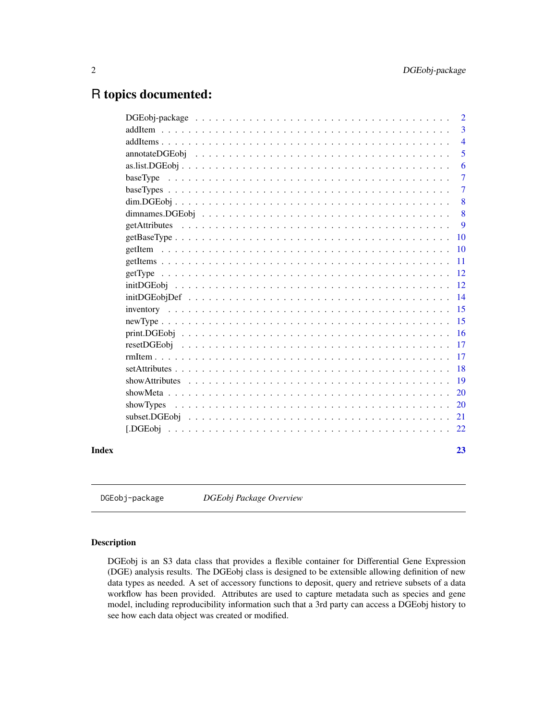# <span id="page-1-0"></span>R topics documented:

|       |           | $\overline{2}$ |
|-------|-----------|----------------|
|       |           | $\overline{3}$ |
|       |           | $\overline{4}$ |
|       |           | 5              |
|       |           | 6              |
|       |           | $\overline{7}$ |
|       |           | $\overline{7}$ |
|       |           | 8              |
|       |           | 8              |
|       |           | 9              |
|       |           | <b>10</b>      |
|       |           |                |
|       |           |                |
|       |           |                |
|       |           |                |
|       |           |                |
|       |           |                |
|       |           |                |
|       |           |                |
|       |           |                |
|       |           |                |
|       |           |                |
|       |           |                |
|       |           |                |
|       | showTypes |                |
|       |           |                |
|       |           |                |
| Index |           | 23             |

DGEobj-package *DGEobj Package Overview*

# Description

DGEobj is an S3 data class that provides a flexible container for Differential Gene Expression (DGE) analysis results. The DGEobj class is designed to be extensible allowing definition of new data types as needed. A set of accessory functions to deposit, query and retrieve subsets of a data workflow has been provided. Attributes are used to capture metadata such as species and gene model, including reproducibility information such that a 3rd party can access a DGEobj history to see how each data object was created or modified.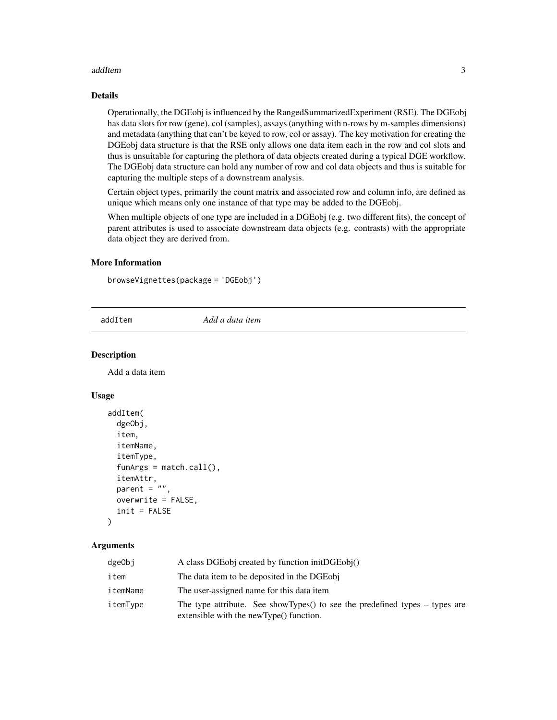#### <span id="page-2-0"></span>addItem 3

#### Details

Operationally, the DGEobj is influenced by the RangedSummarizedExperiment (RSE). The DGEobj has data slots for row (gene), col (samples), assays (anything with n-rows by m-samples dimensions) and metadata (anything that can't be keyed to row, col or assay). The key motivation for creating the DGEobj data structure is that the RSE only allows one data item each in the row and col slots and thus is unsuitable for capturing the plethora of data objects created during a typical DGE workflow. The DGEobj data structure can hold any number of row and col data objects and thus is suitable for capturing the multiple steps of a downstream analysis.

Certain object types, primarily the count matrix and associated row and column info, are defined as unique which means only one instance of that type may be added to the DGEobj.

When multiple objects of one type are included in a DGEobj (e.g. two different fits), the concept of parent attributes is used to associate downstream data objects (e.g. contrasts) with the appropriate data object they are derived from.

#### More Information

browseVignettes(package = 'DGEobj')

addItem *Add a data item*

#### **Description**

Add a data item

#### Usage

```
addItem(
  dgeObj,
  item,
  itemName,
  itemType,
  funArgs = match.call(),
  itemAttr,
  parent = ",
  overwrite = FALSE,
  init = FALSE
```

```
)
```
# Arguments

| dgeObj   | A class DGEobj created by function initDGEobj()                                                                              |
|----------|------------------------------------------------------------------------------------------------------------------------------|
| item     | The data item to be deposited in the DGEobi                                                                                  |
| itemName | The user-assigned name for this data item                                                                                    |
| itemType | The type attribute. See show Types $()$ to see the predefined types $-$ types are<br>extensible with the newType() function. |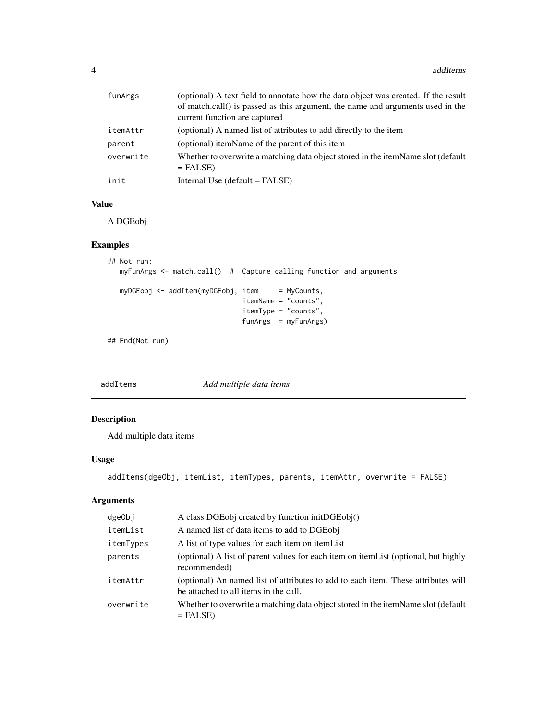<span id="page-3-0"></span>

| funArgs   | (optional) A text field to annotate how the data object was created. If the result<br>of match.call() is passed as this argument, the name and arguments used in the<br>current function are captured |
|-----------|-------------------------------------------------------------------------------------------------------------------------------------------------------------------------------------------------------|
| itemAttr  | (optional) A named list of attributes to add directly to the item                                                                                                                                     |
| parent    | (optional) itemName of the parent of this item                                                                                                                                                        |
| overwrite | Whether to overwrite a matching data object stored in the itemName slot (default<br>$=$ FALSE)                                                                                                        |
| init      | Internal Use (default = FALSE)                                                                                                                                                                        |

#### Value

A DGEobj

# Examples

```
## Not run:
  myFunArgs <- match.call() # Capture calling function and arguments
  myDGEobj <- addItem(myDGEobj, item = MyCounts,
                                itemName = "counts",
                                itemType = "counts",
                                funArgs = myFunArgs)
```
## End(Not run)

addItems *Add multiple data items*

# Description

Add multiple data items

# Usage

```
addItems(dgeObj, itemList, itemTypes, parents, itemAttr, overwrite = FALSE)
```
# Arguments

| dgeObj    | A class DGEobj created by function initDGEobj()                                                                            |
|-----------|----------------------------------------------------------------------------------------------------------------------------|
| itemList  | A named list of data items to add to DGEobj                                                                                |
| itemTypes | A list of type values for each item on item List                                                                           |
| parents   | (optional) A list of parent values for each item on item List (optional, but highly<br>recommended)                        |
| itemAttr  | (optional) An named list of attributes to add to each item. These attributes will<br>be attached to all items in the call. |
| overwrite | Whether to overwrite a matching data object stored in the itemName slot (default<br>$=$ FALSE)                             |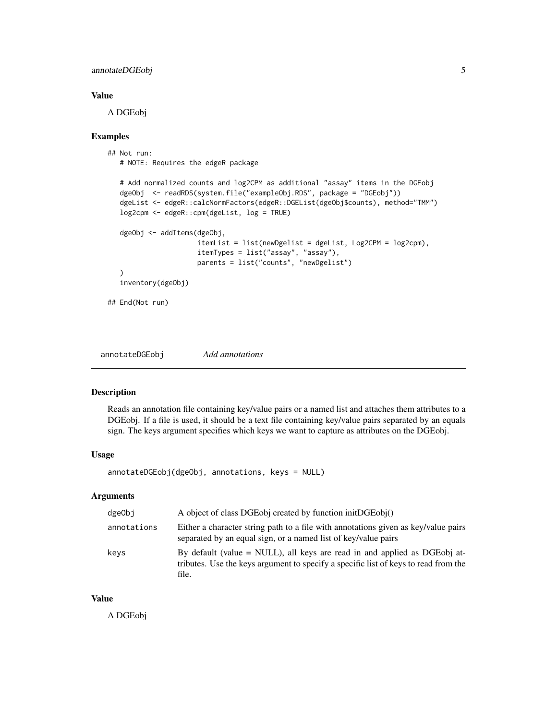#### <span id="page-4-0"></span>annotateDGEobj 5

#### Value

A DGEobj

#### Examples

```
## Not run:
  # NOTE: Requires the edgeR package
  # Add normalized counts and log2CPM as additional "assay" items in the DGEobj
  dgeObj <- readRDS(system.file("exampleObj.RDS", package = "DGEobj"))
  dgeList <- edgeR::calcNormFactors(edgeR::DGEList(dgeObj$counts), method="TMM")
  log2cpm <- edgeR::cpm(dgeList, log = TRUE)
  dgeObj <- addItems(dgeObj,
                     itemList = list(newDgelist = dgeList, Log2CPM = log2cpm),
                     itemTypes = list("assay", "assay"),
                     parents = list("counts", "newDgelist")
   )
   inventory(dgeObj)
## End(Not run)
```
annotateDGEobj *Add annotations*

#### Description

Reads an annotation file containing key/value pairs or a named list and attaches them attributes to a DGEobj. If a file is used, it should be a text file containing key/value pairs separated by an equals sign. The keys argument specifies which keys we want to capture as attributes on the DGEobj.

#### Usage

annotateDGEobj(dgeObj, annotations, keys = NULL)

#### Arguments

| dgeObj      | A object of class DGEobj created by function initDGEobj()                                                                                                                   |
|-------------|-----------------------------------------------------------------------------------------------------------------------------------------------------------------------------|
| annotations | Either a character string path to a file with annotations given as key/value pairs<br>separated by an equal sign, or a named list of key/value pairs                        |
| keys        | By default (value $=$ NULL), all keys are read in and applied as DGEobj at-<br>tributes. Use the keys argument to specify a specific list of keys to read from the<br>file. |

#### Value

A DGEobj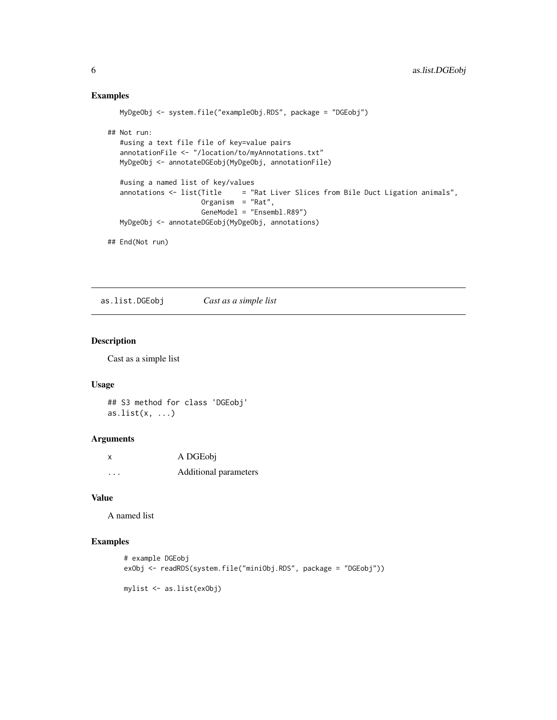# Examples

```
MyDgeObj <- system.file("exampleObj.RDS", package = "DGEobj")
## Not run:
  #using a text file file of key=value pairs
  annotationFile <- "/location/to/myAnnotations.txt"
  MyDgeObj <- annotateDGEobj(MyDgeObj, annotationFile)
  #using a named list of key/values
  annotations <- list(Title = "Rat Liver Slices from Bile Duct Ligation animals",
                      Organism = "Rat",
                      GeneModel = "Ensembl.R89")
  MyDgeObj <- annotateDGEobj(MyDgeObj, annotations)
## End(Not run)
```
as.list.DGEobj *Cast as a simple list*

#### Description

Cast as a simple list

#### Usage

```
## S3 method for class 'DGEobj'
as.list(x, \ldots)
```
#### Arguments

| X | A DGEobj              |
|---|-----------------------|
| . | Additional parameters |

#### Value

A named list

#### Examples

```
# example DGEobj
exObj <- readRDS(system.file("miniObj.RDS", package = "DGEobj"))
```
mylist <- as.list(exObj)

<span id="page-5-0"></span>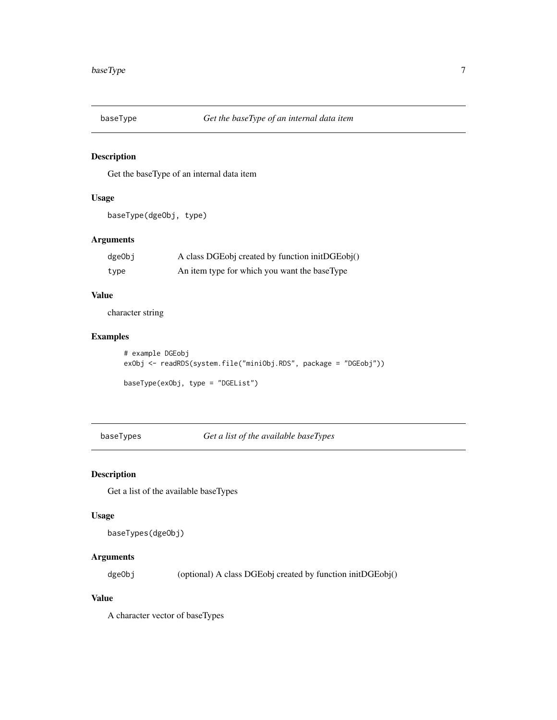<span id="page-6-0"></span>

Get the baseType of an internal data item

# Usage

```
baseType(dgeObj, type)
```
# Arguments

| dgeObj | A class DGEobj created by function initDGEobj() |
|--------|-------------------------------------------------|
| type   | An item type for which you want the baseType    |

# Value

character string

# Examples

```
# example DGEobj
exObj <- readRDS(system.file("miniObj.RDS", package = "DGEobj"))
baseType(exObj, type = "DGEList")
```
baseTypes *Get a list of the available baseTypes*

# Description

Get a list of the available baseTypes

#### Usage

```
baseTypes(dgeObj)
```
# Arguments

dgeObj (optional) A class DGEobj created by function initDGEobj()

#### Value

A character vector of baseTypes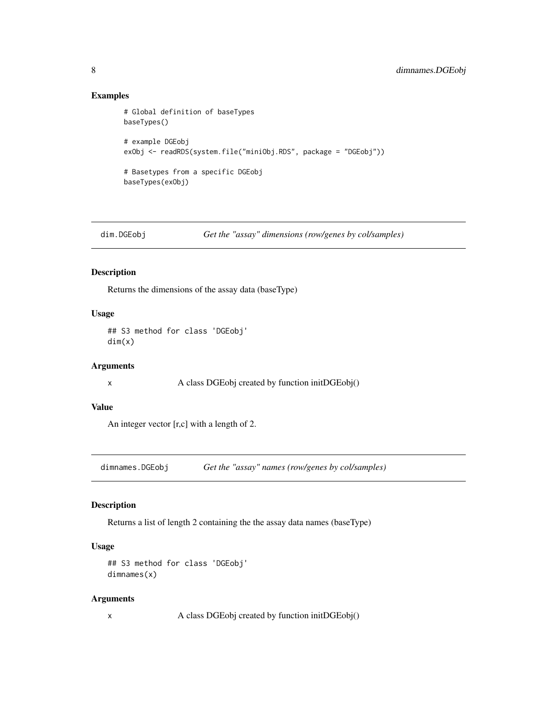# Examples

```
# Global definition of baseTypes
baseTypes()
# example DGEobj
exObj <- readRDS(system.file("miniObj.RDS", package = "DGEobj"))
# Basetypes from a specific DGEobj
baseTypes(exObj)
```

```
dim.DGEobj Get the "assay" dimensions (row/genes by col/samples)
```
#### Description

Returns the dimensions of the assay data (baseType)

#### Usage

## S3 method for class 'DGEobj' dim(x)

#### Arguments

x A class DGEobj created by function initDGEobj()

#### Value

An integer vector [r,c] with a length of 2.

dimnames.DGEobj *Get the "assay" names (row/genes by col/samples)*

# Description

Returns a list of length 2 containing the the assay data names (baseType)

#### Usage

```
## S3 method for class 'DGEobj'
dimnames(x)
```
#### Arguments

x A class DGEobj created by function initDGEobj()

<span id="page-7-0"></span>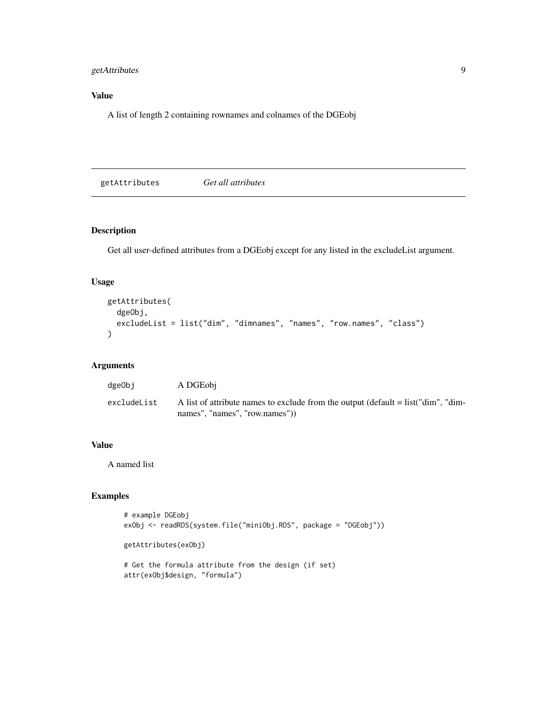# <span id="page-8-0"></span>getAttributes 9

# Value

A list of length 2 containing rownames and colnames of the DGEobj

| getAttributes | Get all attributes |  |
|---------------|--------------------|--|
|---------------|--------------------|--|

# Description

Get all user-defined attributes from a DGEobj except for any listed in the excludeList argument.

# Usage

```
getAttributes(
 dgeObj,
 excludeList = list("dim", "dimnames", "names", "row.names", "class")
)
```
# Arguments

| dgeObi      | A DGEobi                                                                                                             |
|-------------|----------------------------------------------------------------------------------------------------------------------|
| excludeList | A list of attribute names to exclude from the output (default $=$ list("dim", "dim-<br>names", "names", "row.names") |

# Value

A named list

# Examples

```
# example DGEobj
exObj <- readRDS(system.file("miniObj.RDS", package = "DGEobj"))
```

```
getAttributes(exObj)
```

```
# Get the formula attribute from the design (if set)
attr(exObj$design, "formula")
```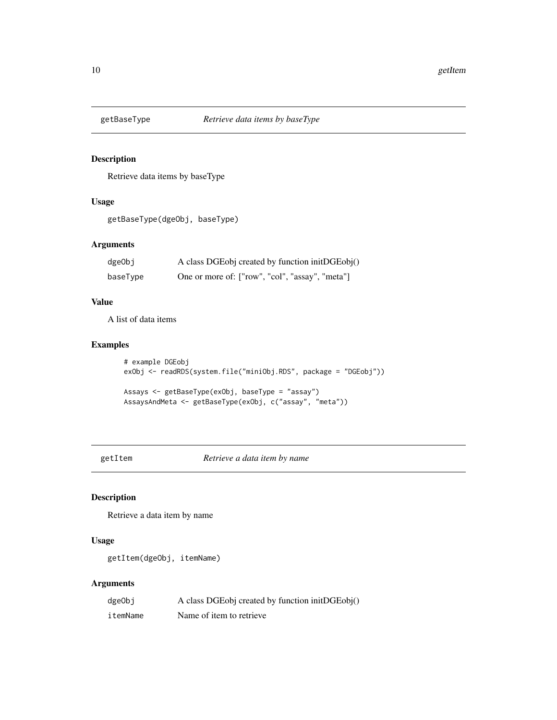<span id="page-9-0"></span>

Retrieve data items by baseType

# Usage

```
getBaseType(dgeObj, baseType)
```
# Arguments

| dgeObj   | A class DGEobj created by function initDGEobj() |
|----------|-------------------------------------------------|
| baseType | One or more of: ["row", "col", "assay", "meta"] |

#### Value

A list of data items

# Examples

```
# example DGEobj
exObj <- readRDS(system.file("miniObj.RDS", package = "DGEobj"))
```

```
Assays <- getBaseType(exObj, baseType = "assay")
AssaysAndMeta <- getBaseType(exObj, c("assay", "meta"))
```
getItem *Retrieve a data item by name*

# Description

Retrieve a data item by name

#### Usage

getItem(dgeObj, itemName)

# Arguments

| dgeObi   | A class DGEobj created by function initDGEobj() |
|----------|-------------------------------------------------|
| itemName | Name of item to retrieve                        |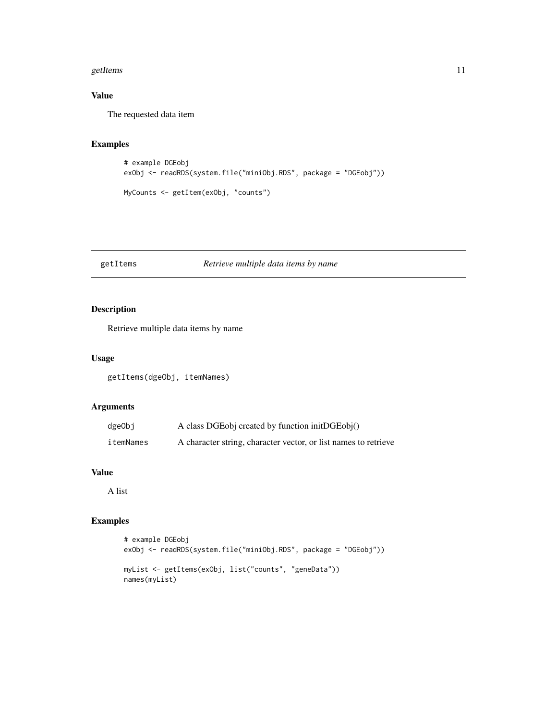#### <span id="page-10-0"></span>getItems and the set of the set of the set of the set of the set of the set of the set of the set of the set of the set of the set of the set of the set of the set of the set of the set of the set of the set of the set of

# Value

The requested data item

# Examples

```
# example DGEobj
exObj <- readRDS(system.file("miniObj.RDS", package = "DGEobj"))
MyCounts <- getItem(exObj, "counts")
```
#### getItems *Retrieve multiple data items by name*

# Description

Retrieve multiple data items by name

#### Usage

getItems(dgeObj, itemNames)

#### Arguments

| dgeObj    | A class DGEobj created by function initDGEobj()                 |
|-----------|-----------------------------------------------------------------|
| itemNames | A character string, character vector, or list names to retrieve |

#### Value

A list

# Examples

```
# example DGEobj
exObj <- readRDS(system.file("miniObj.RDS", package = "DGEobj"))
myList <- getItems(exObj, list("counts", "geneData"))
names(myList)
```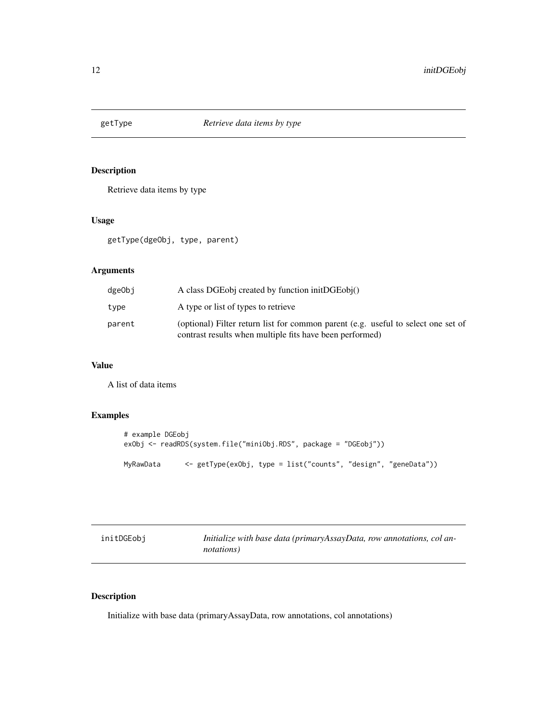<span id="page-11-0"></span>

Retrieve data items by type

# Usage

getType(dgeObj, type, parent)

# Arguments

| dgeObj | A class DGEobi created by function initDGEobi()                                                                                               |
|--------|-----------------------------------------------------------------------------------------------------------------------------------------------|
| type   | A type or list of types to retrieve                                                                                                           |
| parent | (optional) Filter return list for common parent (e.g. useful to select one set of<br>contrast results when multiple fits have been performed) |

# Value

A list of data items

# Examples

```
# example DGEobj
exObj <- readRDS(system.file("miniObj.RDS", package = "DGEobj"))
MyRawData <- getType(exObj, type = list("counts", "design", "geneData"))
```

| initDGEobi | Initialize with base data (primaryAssayData, row annotations, col an- |
|------------|-----------------------------------------------------------------------|
|            | <i>notations</i> )                                                    |

# Description

Initialize with base data (primaryAssayData, row annotations, col annotations)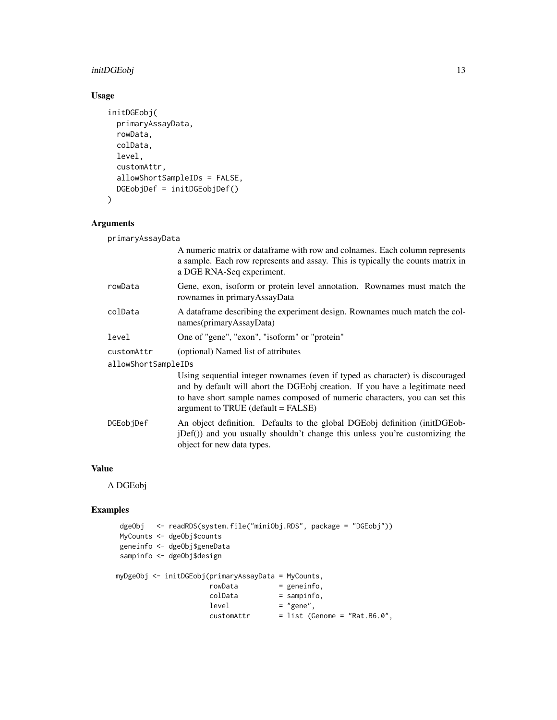# initDGEobj 13

# Usage

```
initDGEobj(
 primaryAssayData,
  rowData,
 colData,
 level,
  customAttr,
  allowShortSampleIDs = FALSE,
 DGEobjDef = initDGEobjDef()
\mathcal{L}
```
# Arguments

primaryAssayData

|                     | A numeric matrix or dataframe with row and colnames. Each column represents<br>a sample. Each row represents and assay. This is typically the counts matrix in<br>a DGE RNA-Seq experiment.                                                                                        |  |
|---------------------|------------------------------------------------------------------------------------------------------------------------------------------------------------------------------------------------------------------------------------------------------------------------------------|--|
| rowData             | Gene, exon, isoform or protein level annotation. Rownames must match the<br>rownames in primaryAssayData                                                                                                                                                                           |  |
| colData             | A dataframe describing the experiment design. Rownames much match the col-<br>names(primaryAssayData)                                                                                                                                                                              |  |
| level               | One of "gene", "exon", "isoform" or "protein"                                                                                                                                                                                                                                      |  |
| customAttr          | (optional) Named list of attributes                                                                                                                                                                                                                                                |  |
| allowShortSampleIDs |                                                                                                                                                                                                                                                                                    |  |
|                     | Using sequential integer rownames (even if typed as character) is discouraged<br>and by default will abort the DGEobj creation. If you have a legitimate need<br>to have short sample names composed of numeric characters, you can set this<br>argument to TRUE (default = FALSE) |  |
| DGEobiDef           | An object definition. Defaults to the global DGEobj definition (initDGEob-<br>(iDef()) and you usually shouldn't change this unless you're customizing the<br>object for new data types.                                                                                           |  |

#### Value

A DGEobj

# Examples

```
dgeObj <- readRDS(system.file("miniObj.RDS", package = "DGEobj"))
MyCounts <- dgeObj$counts
geneinfo <- dgeObj$geneData
sampinfo <- dgeObj$design
myDgeObj <- initDGEobj(primaryAssayData = MyCounts,
                        rowData = geneinfo,
                        \text{colData} = \text{sampling},<br>
\text{level} = \text{"gene",}= "gene",
                        \text{customAttr} = list (Genome = "Rat.B6.0",
```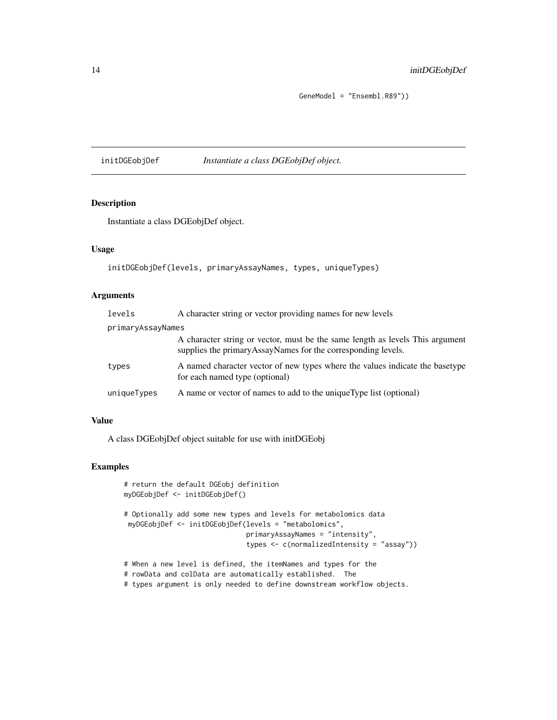# <span id="page-13-0"></span>14 initDGEobjDef

GeneModel = "Ensembl.R89"))

initDGEobjDef *Instantiate a class DGEobjDef object.*

#### Description

Instantiate a class DGEobjDef object.

# Usage

initDGEobjDef(levels, primaryAssayNames, types, uniqueTypes)

# Arguments

| levels            | A character string or vector providing names for new levels                                                                                   |
|-------------------|-----------------------------------------------------------------------------------------------------------------------------------------------|
| primaryAssayNames |                                                                                                                                               |
|                   | A character string or vector, must be the same length as levels This argument<br>supplies the primaryAssayNames for the corresponding levels. |
| types             | A named character vector of new types where the values indicate the basetype<br>for each named type (optional)                                |
| uniqueTypes       | A name or vector of names to add to the unique Type list (optional)                                                                           |

# Value

A class DGEobjDef object suitable for use with initDGEobj

#### Examples

```
# return the default DGEobj definition
myDGEobjDef <- initDGEobjDef()
# Optionally add some new types and levels for metabolomics data
 myDGEobjDef <- initDGEobjDef(levels = "metabolomics",
                              primaryAssayNames = "intensity",
                              types <- c(normalizedIntensity = "assay"))
# When a new level is defined, the itemNames and types for the
```
# rowData and colData are automatically established. The

# types argument is only needed to define downstream workflow objects.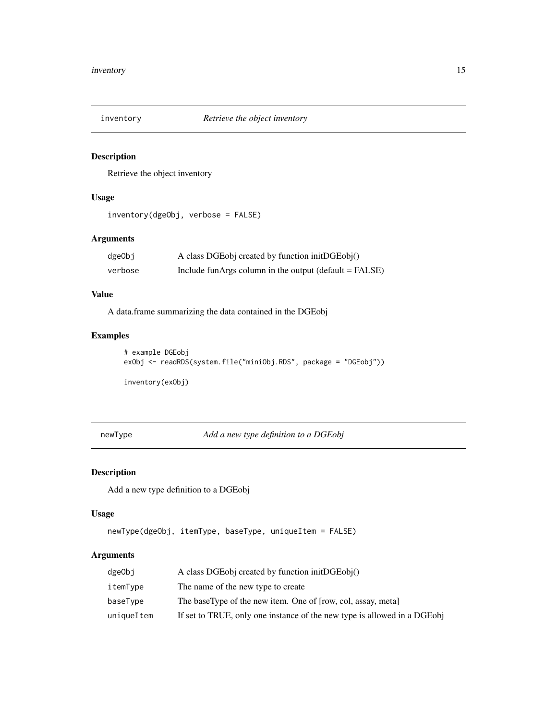<span id="page-14-0"></span>

Retrieve the object inventory

# Usage

```
inventory(dgeObj, verbose = FALSE)
```
# Arguments

| dgeObj  | A class DGEobj created by function initDGEobj()        |
|---------|--------------------------------------------------------|
| verbose | Include funArgs column in the output (default = FALSE) |

#### Value

A data.frame summarizing the data contained in the DGEobj

# Examples

```
# example DGEobj
exObj <- readRDS(system.file("miniObj.RDS", package = "DGEobj"))
```
inventory(exObj)

newType *Add a new type definition to a DGEobj*

# Description

Add a new type definition to a DGEobj

#### Usage

```
newType(dgeObj, itemType, baseType, uniqueItem = FALSE)
```
# Arguments

| dgeObi     | A class DGEobj created by function initDGEobj()                           |
|------------|---------------------------------------------------------------------------|
| itemType   | The name of the new type to create                                        |
| baseType   | The baseType of the new item. One of [row, col, assay, meta]              |
| uniqueItem | If set to TRUE, only one instance of the new type is allowed in a DGE obj |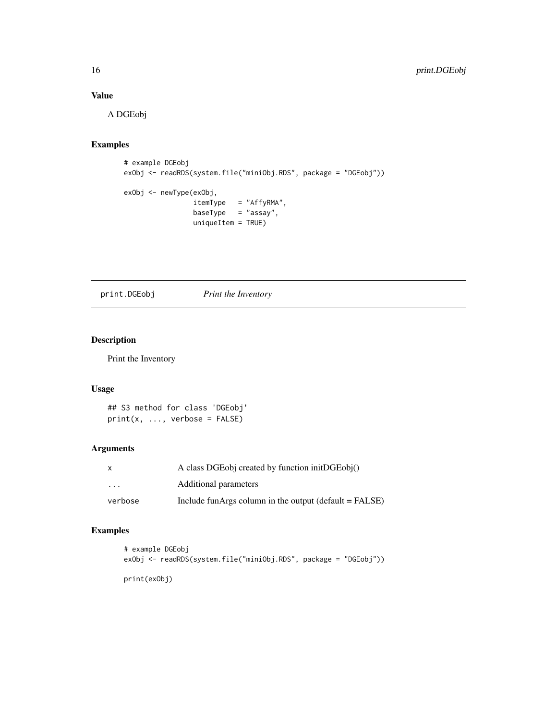# <span id="page-15-0"></span>Value

A DGEobj

# Examples

```
# example DGEobj
exObj <- readRDS(system.file("miniObj.RDS", package = "DGEobj"))
exObj <- newType(exObj,
                itemType = "AffyRMA",
                baseType = "assay",
                uniqueItem = TRUE)
```
print.DGEobj *Print the Inventory*

# Description

Print the Inventory

# Usage

## S3 method for class 'DGEobj'  $print(x, ...,$  verbose =  $FALSE)$ 

#### Arguments

| x                       | A class DGEobj created by function initDGEobj()           |
|-------------------------|-----------------------------------------------------------|
| $\cdot$ $\cdot$ $\cdot$ | Additional parameters                                     |
| verbose                 | Include fun Args column in the output $(default = FALSE)$ |

# Examples

```
# example DGEobj
exObj <- readRDS(system.file("miniObj.RDS", package = "DGEobj"))
```
print(exObj)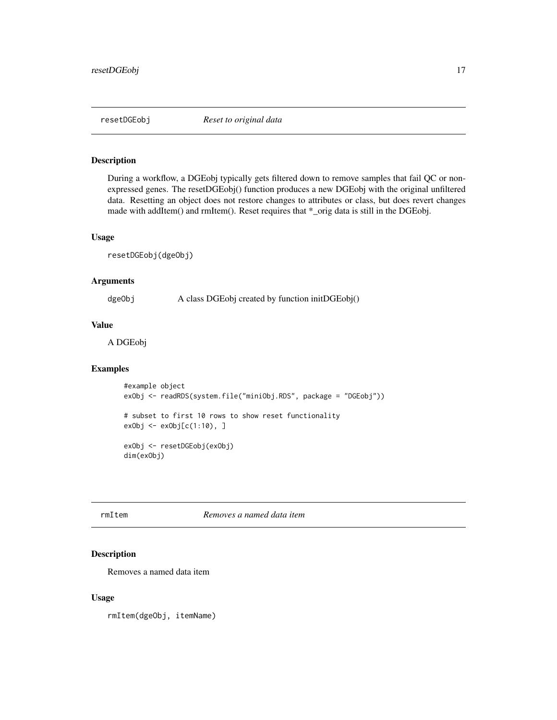<span id="page-16-0"></span>

During a workflow, a DGEobj typically gets filtered down to remove samples that fail QC or nonexpressed genes. The resetDGEobj() function produces a new DGEobj with the original unfiltered data. Resetting an object does not restore changes to attributes or class, but does revert changes made with addItem() and rmItem(). Reset requires that \*\_orig data is still in the DGEobj.

#### Usage

resetDGEobj(dgeObj)

#### Arguments

dgeObj A class DGEobj created by function initDGEobj()

#### Value

A DGEobj

#### Examples

```
#example object
exObj <- readRDS(system.file("miniObj.RDS", package = "DGEobj"))
# subset to first 10 rows to show reset functionality
exObj < -exObj[c(1:10), ]exObj <- resetDGEobj(exObj)
dim(exObj)
```
rmItem *Removes a named data item*

#### Description

Removes a named data item

#### Usage

rmItem(dgeObj, itemName)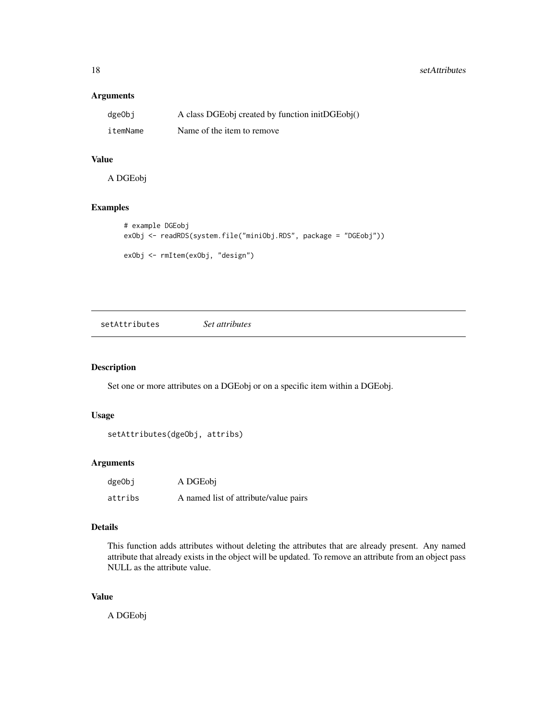#### <span id="page-17-0"></span>Arguments

| dgeObi   | A class DGEobj created by function initDGEobj() |
|----------|-------------------------------------------------|
| itemName | Name of the item to remove                      |

# Value

A DGEobj

# Examples

```
# example DGEobj
exObj <- readRDS(system.file("miniObj.RDS", package = "DGEobj"))
exObj <- rmItem(exObj, "design")
```
setAttributes *Set attributes*

# Description

Set one or more attributes on a DGEobj or on a specific item within a DGEobj.

#### Usage

```
setAttributes(dgeObj, attribs)
```
# Arguments

| dgeObj  | A DGEobj                              |
|---------|---------------------------------------|
| attribs | A named list of attribute/value pairs |

# Details

This function adds attributes without deleting the attributes that are already present. Any named attribute that already exists in the object will be updated. To remove an attribute from an object pass NULL as the attribute value.

#### Value

A DGEobj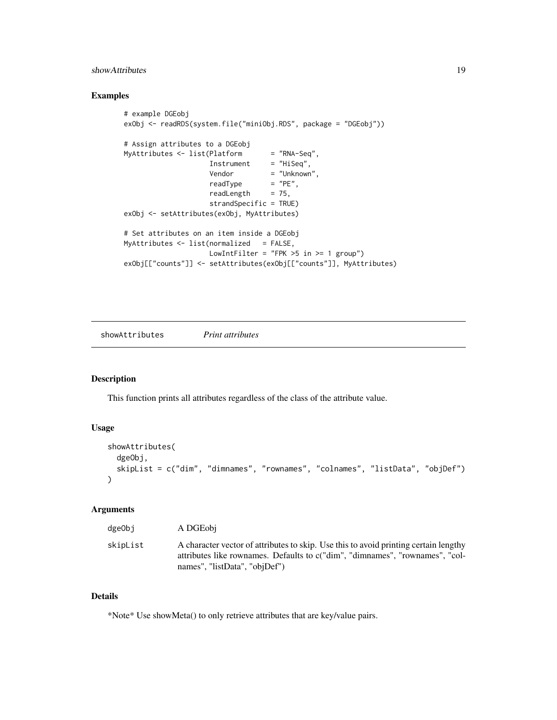#### <span id="page-18-0"></span>showAttributes 19

#### Examples

```
# example DGEobj
exObj <- readRDS(system.file("miniObj.RDS", package = "DGEobj"))
# Assign attributes to a DGEobj
MyAttributes <- list(Platform = "RNA-Seq",
                     Insertum = 'NNA' \leq q'',
                     Vendor = "Unknown",<br>readType = "PE",
                     readType
                     readLength = 75,
                     strandSpecific = TRUE)
exObj <- setAttributes(exObj, MyAttributes)
# Set attributes on an item inside a DGEobj
MyAttributes \leq - list(normalized = FALSE,
                     LowIntFilter = "FPK >5 in >= 1 group")
exObj[["counts"]] <- setAttributes(exObj[["counts"]], MyAttributes)
```
showAttributes *Print attributes*

#### Description

This function prints all attributes regardless of the class of the attribute value.

#### Usage

```
showAttributes(
  dgeObj,
  skipList = c("dim", "dimnames", "rownames", "colnames", "listData", "objDef")
\mathcal{L}
```
# Arguments

| dgeObi   | A DGEobi                                                                                                                                                                                              |
|----------|-------------------------------------------------------------------------------------------------------------------------------------------------------------------------------------------------------|
| skipList | A character vector of attributes to skip. Use this to avoid printing certain lengthy<br>attributes like rownames. Defaults to c("dim", "dimnames", "rownames", "col-<br>names", "listData", "objDef") |

#### Details

\*Note\* Use showMeta() to only retrieve attributes that are key/value pairs.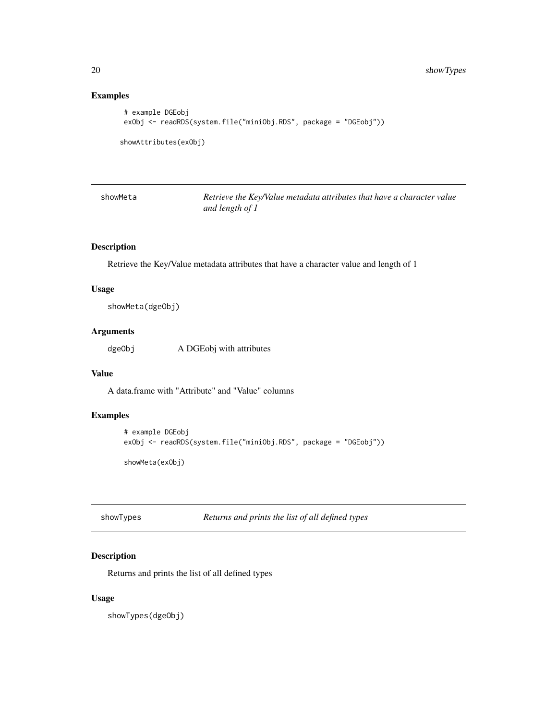# Examples

```
# example DGEobj
exObj <- readRDS(system.file("miniObj.RDS", package = "DGEobj"))
```

```
showAttributes(exObj)
```

| showMeta | Retrieve the Key/Value metadata attributes that have a character value |
|----------|------------------------------------------------------------------------|
|          | and length of 1                                                        |

# Description

Retrieve the Key/Value metadata attributes that have a character value and length of 1

#### Usage

showMeta(dgeObj)

# Arguments

dgeObj A DGEobj with attributes

#### Value

A data.frame with "Attribute" and "Value" columns

#### Examples

```
# example DGEobj
exObj <- readRDS(system.file("miniObj.RDS", package = "DGEobj"))
showMeta(exObj)
```
showTypes *Returns and prints the list of all defined types*

# Description

Returns and prints the list of all defined types

#### Usage

showTypes(dgeObj)

<span id="page-19-0"></span>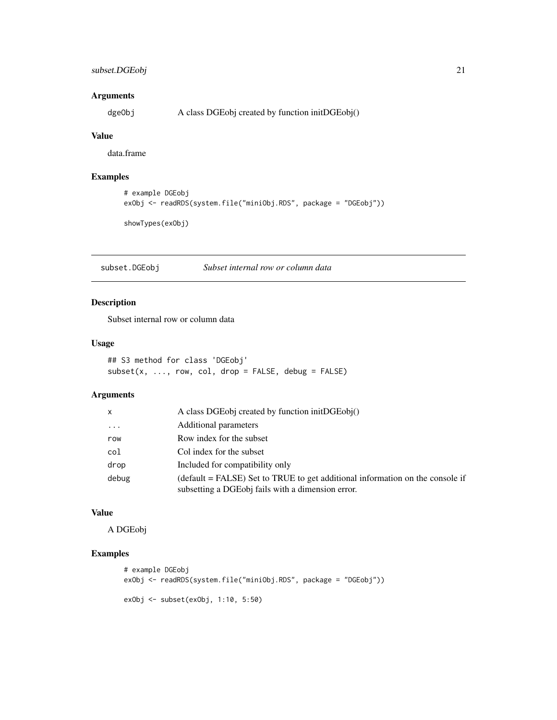# <span id="page-20-0"></span>subset.DGEobj 21

#### Arguments

dgeObj A class DGEobj created by function initDGEobj()

#### Value

data.frame

# Examples

```
# example DGEobj
exObj <- readRDS(system.file("miniObj.RDS", package = "DGEobj"))
```
showTypes(exObj)

subset.DGEobj *Subset internal row or column data*

# Description

Subset internal row or column data

#### Usage

## S3 method for class 'DGEobj'  $subset(x, ..., row, col, drop = FALSE, debug = FALSE)$ 

# Arguments

| x          | A class DGEobj created by function initDGEobj $()$                                                                                                 |
|------------|----------------------------------------------------------------------------------------------------------------------------------------------------|
| $\ddots$ . | Additional parameters                                                                                                                              |
| row        | Row index for the subset                                                                                                                           |
| col        | Col index for the subset                                                                                                                           |
| drop       | Included for compatibility only                                                                                                                    |
| debug      | $(\text{default} = \text{FALSE})$ Set to TRUE to get additional information on the console if<br>subsetting a DGEobj fails with a dimension error. |

# Value

A DGEobj

# Examples

```
# example DGEobj
exObj <- readRDS(system.file("miniObj.RDS", package = "DGEobj"))
exObj <- subset(exObj, 1:10, 5:50)
```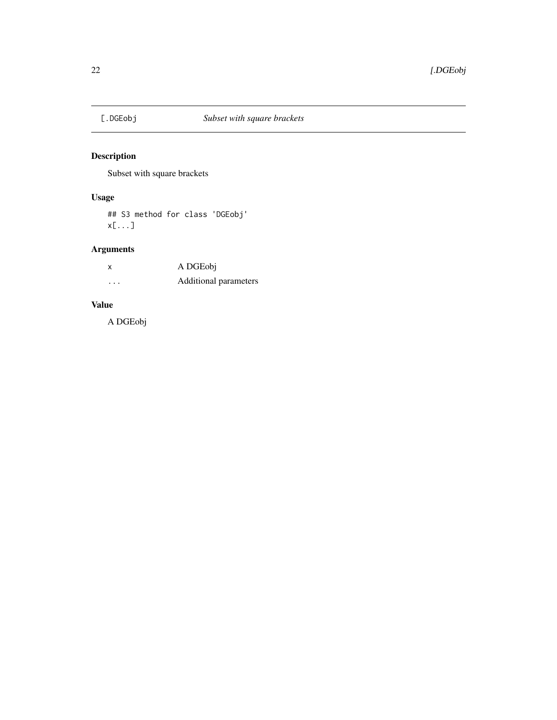<span id="page-21-0"></span>

Subset with square brackets

# Usage

## S3 method for class 'DGEobj' x[...]

# Arguments

| x        | A DGEobj              |
|----------|-----------------------|
| $\cdots$ | Additional parameters |

# Value

A DGEobj